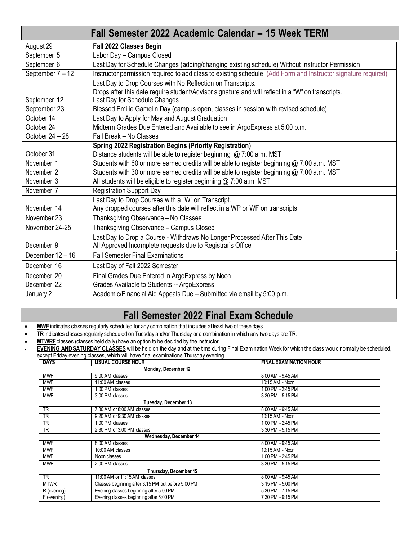| Fall Semester 2022 Academic Calendar - 15 Week TERM |                                                                                                               |  |  |  |
|-----------------------------------------------------|---------------------------------------------------------------------------------------------------------------|--|--|--|
| August 29                                           | Fall 2022 Classes Begin                                                                                       |  |  |  |
| September 5                                         | Labor Day - Campus Closed                                                                                     |  |  |  |
| September 6                                         | Last Day for Schedule Changes (adding/changing existing schedule) Without Instructor Permission               |  |  |  |
| September 7 - 12                                    | Instructor permission required to add class to existing schedule (Add Form and Instructor signature required) |  |  |  |
|                                                     | Last Day to Drop Courses with No Reflection on Transcripts.                                                   |  |  |  |
|                                                     | Drops after this date require student/Advisor signature and will reflect in a "W" on transcripts.             |  |  |  |
| September 12                                        | Last Day for Schedule Changes                                                                                 |  |  |  |
| September 23                                        | Blessed Emilie Gamelin Day (campus open, classes in session with revised schedule)                            |  |  |  |
| October 14                                          | Last Day to Apply for May and August Graduation                                                               |  |  |  |
| October 24                                          | Midterm Grades Due Entered and Available to see in Argo Express at 5:00 p.m.                                  |  |  |  |
| October $24 - 28$                                   | Fall Break - No Classes                                                                                       |  |  |  |
|                                                     | <b>Spring 2022 Registration Begins (Priority Registration)</b>                                                |  |  |  |
| October 31                                          | Distance students will be able to register beginning @ 7:00 a.m. MST                                          |  |  |  |
| November 1                                          | Students with 60 or more earned credits will be able to register beginning @ 7:00 a.m. MST                    |  |  |  |
| November 2                                          | Students with 30 or more earned credits will be able to register beginning @ 7:00 a.m. MST                    |  |  |  |
| November 3                                          | All students will be eligible to register beginning @ 7:00 a.m. MST                                           |  |  |  |
| November 7                                          | <b>Registration Support Day</b>                                                                               |  |  |  |
|                                                     | Last Day to Drop Courses with a "W" on Transcript.                                                            |  |  |  |
| November 14                                         | Any dropped courses after this date will reflect in a WP or WF on transcripts.                                |  |  |  |
| November 23                                         | Thanksgiving Observance - No Classes                                                                          |  |  |  |
| November 24-25                                      | Thanksgiving Observance - Campus Closed                                                                       |  |  |  |
|                                                     | Last Day to Drop a Course - Withdraws No Longer Processed After This Date                                     |  |  |  |
| December 9                                          | All Approved Incomplete requests due to Registrar's Office                                                    |  |  |  |
| December 12 - 16                                    | <b>Fall Semester Final Examinations</b>                                                                       |  |  |  |
| December 16                                         | Last Day of Fall 2022 Semester                                                                                |  |  |  |
| December 20                                         | Final Grades Due Entered in ArgoExpress by Noon                                                               |  |  |  |
| December 22                                         | Grades Available to Students -- ArgoExpress                                                                   |  |  |  |
| January 2                                           | Academic/Financial Aid Appeals Due - Submitted via email by 5:00 p.m.                                         |  |  |  |

# **Fall Semester 2022 Final Exam Schedule**

- MWF indicates classes regularly scheduled for any combination that includes at least two of these days.
- **TR** indicates classes regularly scheduled on Tuesday and/or Thursday or a combination in which any two days are TR.
- **MTWRF** classes (classes held daily) have an option to be decided by the instructor.  $\cdot$  **EVENING AND SATURDAY CLASSES** will be held on the day and at the time during Final Examination Week for which the class would normally be scheduled, except Friday evening classes, which will have final examinations Thursday evening.

| <b>DAYS</b>            | <b>USUAL COURSE HOUR</b>                           | <b>FINAL EXAMINATION HOUR</b> |  |  |
|------------------------|----------------------------------------------------|-------------------------------|--|--|
|                        | Monday, December 12                                |                               |  |  |
| <b>MWF</b>             | 9:00 AM classes                                    | 8:00 AM - 9:45 AM             |  |  |
| <b>MWF</b>             | 11:00 AM classes                                   | 10:15 AM - Noon               |  |  |
| <b>MWF</b>             | 1:00 PM classes                                    | 1:00 PM - 2:45 PM             |  |  |
| <b>MWF</b>             | 3:00 PM classes                                    | 3:30 PM - 5:15 PM             |  |  |
| Tuesday, December 13   |                                                    |                               |  |  |
| <b>TR</b>              | 7:30 AM or 8:00 AM classes                         | 8:00 AM - 9:45 AM             |  |  |
| TR                     | 9:20 AM or 9:30 AM classes                         | 10:15 AM - Noon               |  |  |
| <b>TR</b>              | 1:00 PM classes                                    | 1:00 PM - 2:45 PM             |  |  |
| TR                     | 2:30 PM or 3:00 PM classes                         | 3:30 PM - 5:15 PM             |  |  |
| Wednesday, December 14 |                                                    |                               |  |  |
| <b>MWF</b>             | 8:00 AM classes                                    | 8:00 AM - 9:45 AM             |  |  |
| <b>MWF</b>             | 10:00 AM classes                                   | 10:15 AM - Noon               |  |  |
| <b>MWF</b>             | Noon classes                                       | 1:00 PM - 2:45 PM             |  |  |
| <b>MWF</b>             | 2:00 PM classes                                    | 3:30 PM - 5:15 PM             |  |  |
|                        | Thursday, December 15                              |                               |  |  |
| TR                     | 11:00 AM or 11:15 AM classes                       | 8:00 AM - 9:45 AM             |  |  |
| <b>MTWR</b>            | Classes beginning after 3:15 PM but before 5:00 PM | 3:15 PM - 5:00 PM             |  |  |
| R (evening)            | Evening classes beginning after 5:00 PM            | 5:30 PM - 7:15 PM             |  |  |
| F (evening)            | Evening classes beginning after 5:00 PM            | 7:30 PM - 9:15 PM             |  |  |